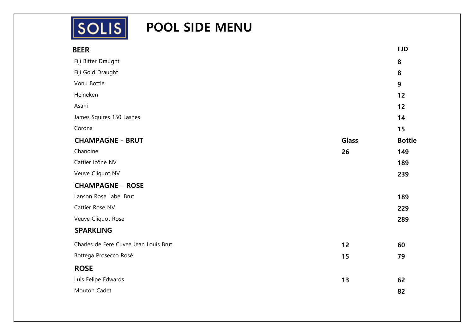

# **SOLIS** POOL SIDE MENU

| <b>BEER</b>                           |              | <b>FJD</b>    |
|---------------------------------------|--------------|---------------|
| Fiji Bitter Draught                   |              | 8             |
| Fiji Gold Draught                     |              | 8             |
| Vonu Bottle                           |              | 9             |
| Heineken                              |              | 12            |
| Asahi                                 |              | 12            |
| James Squires 150 Lashes              |              | 14            |
| Corona                                |              | 15            |
| <b>CHAMPAGNE - BRUT</b>               | <b>Glass</b> | <b>Bottle</b> |
| Chanoine                              | 26           | 149           |
| Cattier Icône NV                      |              | 189           |
| Veuve Cliquot NV                      |              | 239           |
| <b>CHAMPAGNE - ROSE</b>               |              |               |
| Lanson Rose Label Brut                |              | 189           |
| Cattier Rose NV                       |              | 229           |
| Veuve Cliquot Rose                    |              | 289           |
| <b>SPARKLING</b>                      |              |               |
| Charles de Fere Cuvee Jean Louis Brut | 12           | 60            |
| Bottega Prosecco Rosé                 | 15           | 79            |
| <b>ROSE</b>                           |              |               |
| Luis Felipe Edwards                   | 13           | 62            |
| Mouton Cadet                          |              | 82            |
|                                       |              |               |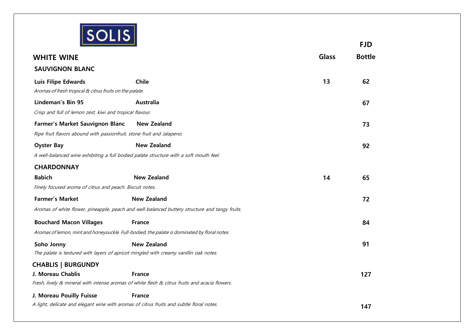

|                                                                                          |                                                                                                |              | <b>FJD</b>    |
|------------------------------------------------------------------------------------------|------------------------------------------------------------------------------------------------|--------------|---------------|
| <b>WHITE WINE</b>                                                                        |                                                                                                | <b>Glass</b> | <b>Bottle</b> |
| <b>SAUVIGNON BLANC</b>                                                                   |                                                                                                |              |               |
| <b>Luis Filipe Edwards</b>                                                               | <b>Chile</b>                                                                                   | 13           | 62            |
| Aromas of fresh tropical & citrus fruits on the palate.                                  |                                                                                                |              |               |
| Lindeman's Bin 95                                                                        | Australia                                                                                      |              | 67            |
| Crisp and full of lemon zest, kiwi and tropical flavour.                                 |                                                                                                |              |               |
| Farmer's Market Sauvignon Blanc                                                          | <b>New Zealand</b>                                                                             |              | 73            |
| Ripe fruit flavors abound with passionfruit, stone fruit and Jalapeno.                   |                                                                                                |              |               |
| <b>Oyster Bay</b>                                                                        | <b>New Zealand</b>                                                                             |              | 92            |
| A well-balanced wine exhibiting a full bodied palate structure with a soft mouth feel.   |                                                                                                |              |               |
| <b>CHARDONNAY</b>                                                                        |                                                                                                |              |               |
| <b>Babich</b>                                                                            | <b>New Zealand</b>                                                                             | 14           | 65            |
| Finely focused aroma of citrus and peach. Biscuit notes.                                 |                                                                                                |              |               |
| <b>Farmer's Market</b>                                                                   | <b>New Zealand</b>                                                                             |              | 72            |
|                                                                                          | Aromas of white flower, pineapple, peach and well-balanced buttery structure and tangy fruits. |              |               |
| <b>Bouchard Macon Villages</b>                                                           | <b>France</b>                                                                                  |              | 84            |
|                                                                                          | Aromas of lemon, mint and honeysuckle. Full-bodied, the palate is dominated by floral notes.   |              |               |
| Soho Jonny                                                                               | <b>New Zealand</b>                                                                             |              | 91            |
| The palate is textured with layers of apricot mingled with creamy vanillin oak notes.    |                                                                                                |              |               |
| <b>CHABLIS   BURGUNDY</b>                                                                |                                                                                                |              |               |
| J. Moreau Chablis                                                                        | <b>France</b>                                                                                  |              | 127           |
|                                                                                          | Fresh, lively & mineral with intense aromas of white flesh & citrus fruits and acacia flowers. |              |               |
| J. Moreau Pouilly Fuisse                                                                 | <b>France</b>                                                                                  |              |               |
| A light, delicate and elegant wine with aromas of citrus fruits and subtle floral notes. |                                                                                                |              | 147           |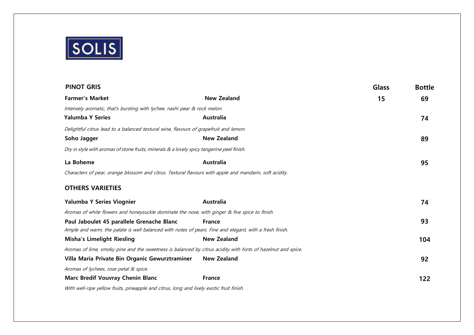

| <b>PINOT GRIS</b>                                                                                            |                    | <b>Glass</b> | <b>Bottle</b> |
|--------------------------------------------------------------------------------------------------------------|--------------------|--------------|---------------|
| <b>Farmer's Market</b>                                                                                       | <b>New Zealand</b> | 15           | 69            |
| Intensely aromatic, that's bursting with lychee, nashi pear & rock melon.                                    |                    |              |               |
| <b>Yalumba Y Series</b>                                                                                      | Australia          |              | 74            |
| Delightful citrus lead to a balanced textural wine, flavours of grapefruit and lemon.                        |                    |              |               |
| Soho Jagger                                                                                                  | <b>New Zealand</b> |              | 89            |
| Dry in style with aromas of stone fruits, minerals & a lovely spicy tangerine peel finish.                   |                    |              |               |
| La Boheme                                                                                                    | Australia          |              | 95            |
| Characters of pear, orange blossom and citrus. Textural flavours with apple and mandarin, soft acidity.      |                    |              |               |
| <b>OTHERS VARIETIES</b>                                                                                      |                    |              |               |
| Yalumba Y Series Viognier                                                                                    | Australia          |              | 74            |
| Aromas of white flowers and honeysuckle dominate the nose, with ginger & five spice to finish.               |                    |              |               |
| Paul Jaboulet 45 parallele Grenache Blanc                                                                    | <b>France</b>      |              | 93            |
| Ample and warm, the palate is well balanced with notes of pears. Fine and elegant, with a fresh finish.      |                    |              |               |
| <b>Misha's Limelight Riesling</b>                                                                            | <b>New Zealand</b> |              | 104           |
| Aromas of lime, smoky pine and the sweetness is balanced by citrus acidity with hints of hazelnut and spice. |                    |              |               |
| Villa Maria Private Bin Organic Gewurztraminer                                                               | <b>New Zealand</b> |              | 92            |
| Aromas of lychees, rose petal & spice.                                                                       |                    |              |               |
| Marc Bredif Vouvray Chenin Blanc                                                                             | <b>France</b>      |              | 122           |
|                                                                                                              |                    |              |               |

With well-ripe yellow fruits, pineapple and citrus, long and lively exotic fruit finish.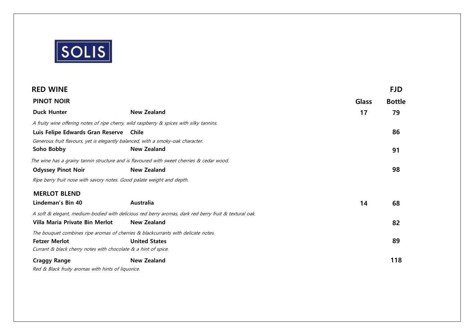

| <b>RED WINE</b>                                                                          |                                                                                                       |              | <b>FJD</b>    |
|------------------------------------------------------------------------------------------|-------------------------------------------------------------------------------------------------------|--------------|---------------|
| <b>PINOT NOIR</b>                                                                        |                                                                                                       | <b>Glass</b> | <b>Bottle</b> |
| <b>Duck Hunter</b>                                                                       | <b>New Zealand</b>                                                                                    | 17           | 79            |
| A fruity wine offering notes of ripe cherry, wild raspberry & spices with silky tannins. |                                                                                                       |              |               |
| Luis Felipe Edwards Gran Reserve Chile                                                   |                                                                                                       |              | 86            |
| Generous fruit flavours, yet is elegantly balanced, with a smoky-oak character.          |                                                                                                       |              |               |
| Soho Bobby                                                                               | <b>New Zealand</b>                                                                                    |              | 91            |
|                                                                                          | The wine has a grainy tannin structure and is flavoured with sweet cherries & cedar wood.             |              |               |
| <b>Odyssey Pinot Noir</b>                                                                | <b>New Zealand</b>                                                                                    |              | 98            |
| Ripe berry fruit nose with savory notes. Good palate weight and depth.                   |                                                                                                       |              |               |
| <b>MERLOT BLEND</b>                                                                      |                                                                                                       |              |               |
| Lindeman's Bin 40                                                                        | Australia                                                                                             | 14           | 68            |
|                                                                                          | A soft & elegant, medium-bodied with delicious red berry aromas, dark red berry fruit & textural oak. |              |               |
| Villa Maria Private Bin Merlot                                                           | New Zealand                                                                                           |              | 82            |
| The bouquet combines ripe aromas of cherries & blackcurrants with delicate notes.        |                                                                                                       |              |               |
| <b>Fetzer Merlot</b>                                                                     | <b>United States</b>                                                                                  |              | 89            |
| Currant & black cherry notes with chocolate & a hint of spice.                           |                                                                                                       |              |               |
| <b>Craggy Range</b>                                                                      | <b>New Zealand</b>                                                                                    |              | 118           |
| Red & Rlack fruity aromas with hints of liquorice                                        |                                                                                                       |              |               |

Red & Black fruity aromas with hints of liquorice.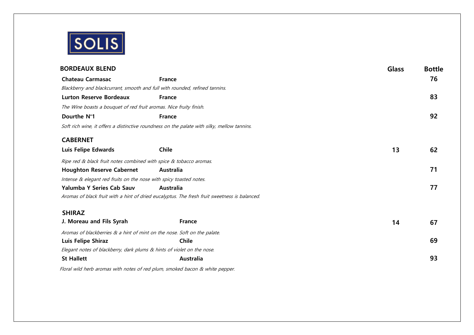

| <b>BORDEAUX BLEND</b>                                                       |                                                                                               | <b>Glass</b> | <b>Bottle</b> |
|-----------------------------------------------------------------------------|-----------------------------------------------------------------------------------------------|--------------|---------------|
| <b>Chateau Carmasac</b>                                                     | <b>France</b>                                                                                 |              | 76            |
| Blackberry and blackcurrant, smooth and full with rounded, refined tannins. |                                                                                               |              |               |
| <b>Lurton Reserve Bordeaux</b>                                              | <b>France</b>                                                                                 |              | 83            |
| The Wine boasts a bouquet of red fruit aromas. Nice fruity finish.          |                                                                                               |              |               |
| Dourthe N°1                                                                 | <b>France</b>                                                                                 |              | 92            |
|                                                                             | Soft rich wine, it offers a distinctive roundness on the palate with silky, mellow tannins.   |              |               |
| <b>CABERNET</b>                                                             |                                                                                               |              |               |
| Luis Felipe Edwards                                                         | <b>Chile</b>                                                                                  | 13           | 62            |
| Ripe red & black fruit notes combined with spice & tobacco aromas.          |                                                                                               |              |               |
| <b>Houghton Reserve Cabernet</b>                                            | Australia                                                                                     |              | 71            |
| Intense & elegant red fruits on the nose with spicy toasted notes.          |                                                                                               |              |               |
| <b>Yalumba Y Series Cab Sauv</b>                                            | Australia                                                                                     |              | 77            |
|                                                                             | Aromas of black fruit with a hint of dried eucalyptus. The fresh fruit sweetness is balanced. |              |               |
| <b>SHIRAZ</b>                                                               |                                                                                               |              |               |
| J. Moreau and Fils Syrah                                                    | <b>France</b>                                                                                 | 14           | 67            |
| Aromas of blackberries & a hint of mint on the nose. Soft on the palate.    |                                                                                               |              |               |
| Luis Felipe Shiraz                                                          | <b>Chile</b>                                                                                  |              | 69            |
| Elegant notes of blackberry, dark plums & hints of violet on the nose.      |                                                                                               |              |               |
| <b>St Hallett</b>                                                           | Australia                                                                                     |              | 93            |
| $\blacksquare$                                                              | $\sqrt{1}$                                                                                    |              |               |

Floral wild herb aromas with notes of red plum, smoked bacon & white pepper.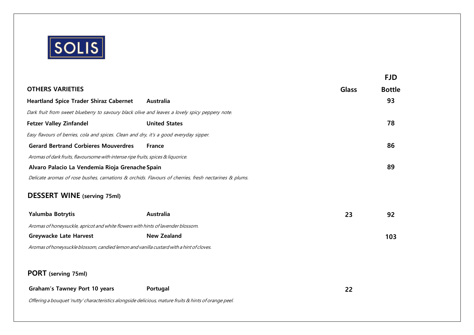

|                                                                                                       |                      |              | <b>FJD</b>    |
|-------------------------------------------------------------------------------------------------------|----------------------|--------------|---------------|
| <b>OTHERS VARIETIES</b>                                                                               |                      | <b>Glass</b> | <b>Bottle</b> |
| <b>Heartland Spice Trader Shiraz Cabernet</b>                                                         | Australia            |              | 93            |
| Dark fruit from sweet blueberry to savoury black olive and leaves a lovely spicy peppery note.        |                      |              |               |
| <b>Fetzer Valley Zinfandel</b>                                                                        | <b>United States</b> |              | 78            |
| Easy flavours of berries, cola and spices. Clean and dry, it's a good everyday sipper.                |                      |              |               |
| <b>Gerard Bertrand Corbieres Mouverdres</b>                                                           | <b>France</b>        |              | 86            |
| Aromas of dark fruits, flavoursome with intense ripe fruits, spices & liquorice.                      |                      |              |               |
| Alvaro Palacio La Vendemia Rioja Grenache Spain                                                       |                      |              | 89            |
| Delicate aromas of rose bushes, carnations & orchids. Flavours of cherries, fresh nectarines & plums. |                      |              |               |
| <b>DESSERT WINE</b> (serving 75ml)                                                                    |                      |              |               |
| Yalumba Botrytis                                                                                      | Australia            | 23           | 92            |
| Aromas of honeysuckle, apricot and white flowers with hints of lavender blossom.                      |                      |              |               |
| <b>Greywacke Late Harvest</b>                                                                         | <b>New Zealand</b>   |              | 103           |
| Aromas of honeysuckle blossom, candied lemon and vanilla custard with a hint of cloves.               |                      |              |               |
|                                                                                                       |                      |              |               |
| PORT (serving 75ml)                                                                                   |                      |              |               |
| <b>Graham's Tawney Port 10 years</b>                                                                  | Portugal             | 22           |               |

Offering <sup>a</sup> bouquet 'nutty' characteristics alongside delicious, mature fruits & hints of orange peel.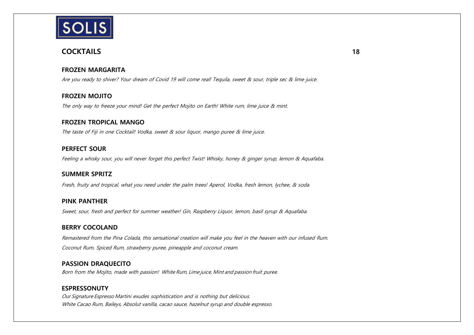

# **COCKTAILS 18**

### **FROZEN MARGARITA**

Are you ready to shiver? Your dream of Covid 19 will come real! Tequila, sweet & sour, triple sec & lime juice.

# **FROZEN MOJITO**

The only way to freeze your mind! Get the perfect Mojito on Earth! White rum, lime juice & mint.

#### **FROZEN TROPICAL MANGO**

The taste of Fiji in one Cocktail! Vodka, sweet & sour liquor, mango puree & lime juice.

# **PERFECT SOUR**

Feeling a whisky sour, you will never forget this perfect Twist! Whisky, honey & ginger syrup, lemon & Aquafaba.

#### **SUMMER SPRITZ**

Fresh, fruity and tropical, what you need under the palm trees! Aperol, Vodka, fresh lemon, lychee, & soda.

#### **PINK PANTHER**

Sweet, sour, fresh and perfect for summer weather! Gin, Raspberry Liquor, lemon, basil syrup & Aquafaba.

#### **BERRY COCOLAND**

Remastered from the Pina Colada, this sensational creation will make you feel in the heaven with our infused Rum. Coconut Rum, Spiced Rum, strawberry puree, pineapple and coconut cream.

#### **PASSION DRAQUECITO**

Born from the Mojito, made with passion! White Rum, Lime juice, Mint and passion fruit puree.

#### **ESPRESSONUTY**

Our Signature Espresso Martini exudes sophistication and is nothing but delicious. White Cacao Rum, Baileys, Absolut vanilla, cacao sauce, hazelnut syrup and double espresso.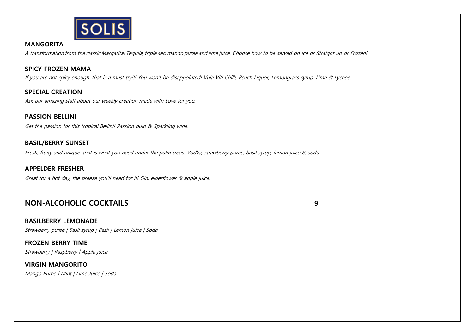

### **MANGORITA**

A transformation from the classic Margarita! Tequila, triple sec, mango puree and lime juice. Choose how to be served on Ice or Straight up or Frozen!

# **SPICY FROZEN MAMA**

If you are not spicy enough, that is a must try!!! You won't be disappointed! Vula Viti Chilli, Peach Liquor, Lemongrass syrup, Lime & Lychee.

**SPECIAL CREATION**  Ask our amazing staff about our weekly creation made with Love for you.

# **PASSION BELLINI**

Get the passion for this tropical Bellini! Passion pulp & Sparkling wine.

### **BASIL/BERRY SUNSET**

Fresh, fruity and unique, that is what you need under the palm trees! Vodka, strawberry puree, basil syrup, lemon juice & soda.

#### **APPELDER FRESHER**

Great for a hot day, the breeze you'll need for it! Gin, elderflower & apple juice.

# **NON-ALCOHOLIC COCKTAILS 9**

#### **BASILBERRY LEMONADE**

Strawberry puree | Basil syrup | Basil | Lemon juice | Soda

**FROZEN BERRY TIME** Strawberry | Raspberry | Apple juice

**VIRGIN MANGORITO** Mango Puree | Mint | Lime Juice | Soda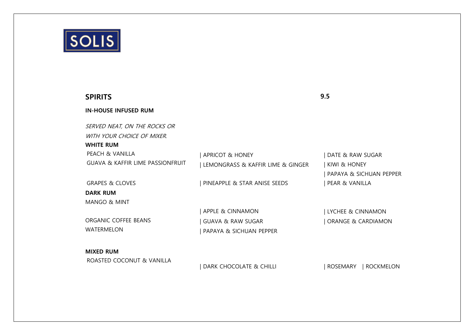

| <b>SPIRITS</b>                              |                                   | 9.5                                 |
|---------------------------------------------|-----------------------------------|-------------------------------------|
| <b>IN-HOUSE INFUSED RUM</b>                 |                                   |                                     |
| SERVED NEAT, ON THE ROCKS OR                |                                   |                                     |
| WITH YOUR CHOICE OF MIXER.                  |                                   |                                     |
| <b>WHITE RUM</b>                            |                                   |                                     |
| <b>PEACH &amp; VANILLA</b>                  | <b>APRICOT &amp; HONEY</b>        | DATE & RAW SUGAR                    |
| <b>GUAVA &amp; KAFFIR LIME PASSIONFRUIT</b> | LEMONGRASS & KAFFIR LIME & GINGER | KIWI & HONEY                        |
|                                             |                                   | PAPAYA & SICHUAN PEPPER             |
| <b>GRAPES &amp; CLOVES</b>                  | PINEAPPLE & STAR ANISE SEEDS      | PEAR & VANILLA                      |
| <b>DARK RUM</b>                             |                                   |                                     |
| <b>MANGO &amp; MINT</b>                     |                                   |                                     |
|                                             | <b>APPLE &amp; CINNAMON</b>       | LYCHEE & CINNAMON                   |
| ORGANIC COFFFF BFANS                        | <b>GUAVA &amp; RAW SUGAR</b>      | ORANGE & CARDIAMON                  |
| <b>WATERMELON</b>                           | PAPAYA & SICHUAN PEPPER           |                                     |
| <b>MIXED RUM</b>                            |                                   |                                     |
| ROASTED COCONUT & VANILLA                   | DARK CHOCOLATE & CHILLI           | <b>ROSEMARY</b><br><b>ROCKMELON</b> |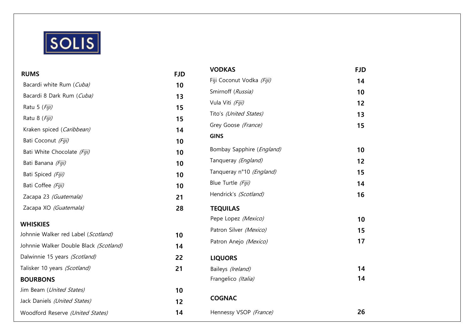

| <b>RUMS</b>                            | <b>FJD</b> | <b>VODKAS</b>             | <b>FJD</b> |
|----------------------------------------|------------|---------------------------|------------|
| Bacardi white Rum (Cuba)               | 10         | Fiji Coconut Vodka (Fiji) | 14         |
| Bacardi 8 Dark Rum (Cuba)              |            | Smirnoff (Russia)         | 10         |
|                                        | 13         | Vula Viti (Fiji)          | 12         |
| Ratu 5 (Fiji)                          | 15         | Tito's (United States)    | 13         |
| Ratu 8 (Fiji)                          | 15         | Grey Goose (France)       | 15         |
| Kraken spiced (Caribbean)              | 14         | <b>GINS</b>               |            |
| Bati Coconut (Fiji)                    | 10         |                           |            |
| Bati White Chocolate (Fiji)            | 10         | Bombay Sapphire (England) | 10         |
| Bati Banana (Fiji)                     | 10         | Tanqueray (England)       | 12         |
| Bati Spiced (Fiji)                     | 10         | Tanqueray n°10 (England)  | 15         |
| Bati Coffee (Fiji)                     | 10         | Blue Turtle (Fiji)        | 14         |
| Zacapa 23 (Guatemala)                  | 21         | Hendrick's (Scotland)     | 16         |
| Zacapa XO (Guatemala)                  | 28         | <b>TEQUILAS</b>           |            |
| <b>WHISKIES</b>                        |            | Pepe Lopez (Mexico)       | 10         |
| Johnnie Walker red Label (Scotland)    | 10         | Patron Silver (Mexico)    | 15         |
| Johnnie Walker Double Black (Scotland) | 14         | Patron Anejo (Mexico)     | 17         |
| Dalwinnie 15 years (Scotland)          | 22         | <b>LIQUORS</b>            |            |
| Talisker 10 years (Scotland)           | 21         | Baileys (Ireland)         | 14         |
| <b>BOURBONS</b>                        |            | Frangelico (Italia)       | 14         |
| Jim Beam (United States)               | 10         |                           |            |
| Jack Daniels (United States)           | 12         | <b>COGNAC</b>             |            |
| Woodford Reserve (United States)       | 14         | Hennessy VSOP (France)    | 26         |